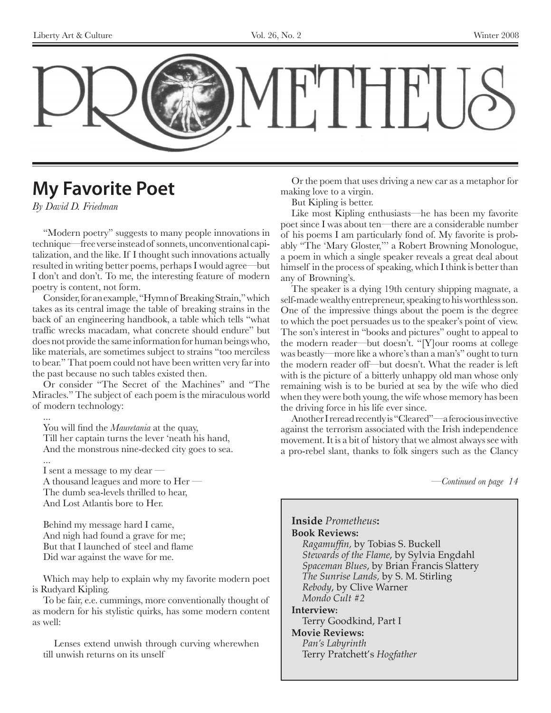

## **My Favorite Poet**

*By David D. Friedman*

"Modern poetry" suggests to many people innovations in technique—free verse instead of sonnets, unconventional capitalization, and the like. If I thought such innovations actually resulted in writing better poems, perhaps I would agree—but I don't and don't. To me, the interesting feature of modern poetry is content, not form.

Consider, for an example, "Hymn of Breaking Strain," which takes as its central image the table of breaking strains in the back of an engineering handbook, a table which tells "what traffic wrecks macadam, what concrete should endure" but does not provide the same information for human beings who, like materials, are sometimes subject to strains "too merciless to bear." That poem could not have been written very far into the past because no such tables existed then.

Or consider "The Secret of the Machines" and "The Miracles." The subject of each poem is the miraculous world of modern technology:

...

You will find the *Mauretania* at the quay,

Till her captain turns the lever 'neath his hand, And the monstrous nine-decked city goes to sea.

...

I sent a message to my dear — A thousand leagues and more to Her — The dumb sea-levels thrilled to hear, And Lost Atlantis bore to Her.

Behind my message hard I came, And nigh had found a grave for me; But that I launched of steel and flame Did war against the wave for me.

Which may help to explain why my favorite modern poet is Rudyard Kipling.

To be fair, e.e. cummings, more conventionally thought of as modern for his stylistic quirks, has some modern content as well:

Lenses extend unwish through curving wherewhen till unwish returns on its unself

Or the poem that uses driving a new car as a metaphor for making love to a virgin.

But Kipling is better.

Like most Kipling enthusiasts—he has been my favorite poet since I was about ten—there are a considerable number of his poems I am particularly fond of. My favorite is probably "The 'Mary Gloster,''' a Robert Browning Monologue, a poem in which a single speaker reveals a great deal about himself in the process of speaking, which I think is better than any of Browning's.

The speaker is a dying 19th century shipping magnate, a self-made wealthy entrepreneur, speaking to his worthless son. One of the impressive things about the poem is the degree to which the poet persuades us to the speaker's point of view. The son's interest in "books and pictures" ought to appeal to the modern reader—but doesn't. "[Y]our rooms at college was beastly—more like a whore's than a man's" ought to turn the modern reader off—but doesn't. What the reader is left with is the picture of a bitterly unhappy old man whose only remaining wish is to be buried at sea by the wife who died when they were both young, the wife whose memory has been the driving force in his life ever since.

Another I reread recently is "Cleared"—a ferocious invective against the terrorism associated with the Irish independence movement. It is a bit of history that we almost always see with a pro-rebel slant, thanks to folk singers such as the Clancy

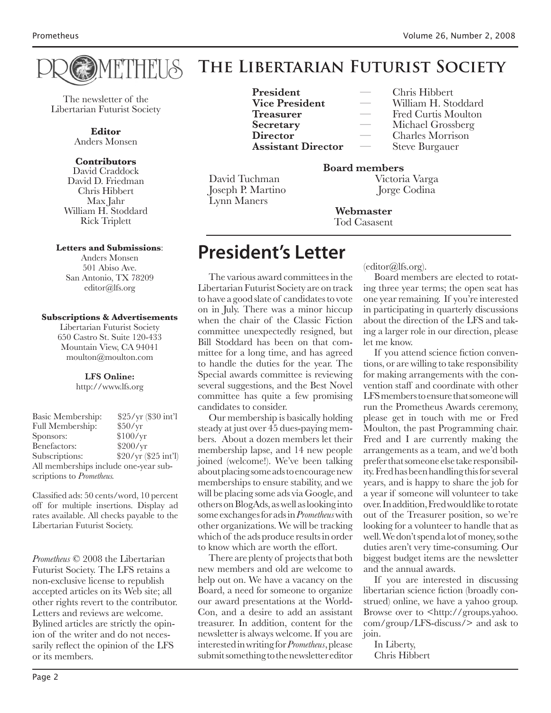

William H. Stoddard

#### THEITS **The Libertarian Futurist Society**

The newsletter of the Libertarian Futurist Society

> **Editor** Anders Monsen

#### **Contributors**

David Craddock David D. Friedman Chris Hibbert Max Jahr William H. Stoddard Rick Triplett

#### **Letters and Submissions**:

Anders Monsen 501 Abiso Ave. San Antonio, TX 78209 editor@lfs.org

#### **Subscriptions & Advertisements**

Libertarian Futurist Society 650 Castro St. Suite 120-433 Mountain View, CA 94041 moulton@moulton.com

#### **LFS Online:**

http://www.lfs.org

| Basic Membership:                     | \$25/yr (\$30 int'l  |
|---------------------------------------|----------------------|
| <b>Full Membership:</b>               | \$50/yr              |
| Sponsors:                             | \$100/yr             |
| Benefactors:                          | \$200/yr             |
| Subscriptions:                        | \$20/yr (\$25 int'l) |
| All memberships include one-year sub- |                      |
| scriptions to Prometheus.             |                      |

Classified ads: 50 cents/word, 10 percent off for multiple insertions. Display ad rates available. All checks payable to the Libertarian Futurist Society.

*Prometheus* © 2008 the Libertarian Futurist Society. The LFS retains a non-exclusive license to republish accepted articles on its Web site; all other rights revert to the contributor. Letters and reviews are welcome. Bylined articles are strictly the opinion of the writer and do not necessarily reflect the opinion of the LFS or its members.

**President** — Chris Hibbert<br> **Vice President** — William H. Sto **Treasurer** — Fred Curtis Moulton **Secretary** — Michael Grossberg **Director** — Charles Morrison **Assistant Director** — Steve Burgauer

David Tuchman Joseph P. Martino Jorge Codina Lynn Maners

**Board members**

**Webmaster** Tod Casasent

## **President's Letter**

The various award committees in the Libertarian Futurist Society are on track to have a good slate of candidates to vote on in July. There was a minor hiccup when the chair of the Classic Fiction committee unexpectedly resigned, but Bill Stoddard has been on that committee for a long time, and has agreed to handle the duties for the year. The Special awards committee is reviewing several suggestions, and the Best Novel committee has quite a few promising candidates to consider.

Our membership is basically holding steady at just over 45 dues-paying members. About a dozen members let their membership lapse, and 14 new people joined (welcome!). We've been talking about placing some ads to encourage new memberships to ensure stability, and we will be placing some ads via Google, and others on BlogAds, as well as looking into some exchanges for ads in *Prometheus* with other organizations. We will be tracking which of the ads produce results in order to know which are worth the effort.

There are plenty of projects that both new members and old are welcome to help out on. We have a vacancy on the Board, a need for someone to organize our award presentations at the World-Con, and a desire to add an assistant treasurer. In addition, content for the newsletter is always welcome. If you are interested in writing for *Prometheus*, please submit something to the newsletter editor

(editor@lfs.org).

Board members are elected to rotating three year terms; the open seat has one year remaining. If you're interested in participating in quarterly discussions about the direction of the LFS and taking a larger role in our direction, please let me know.

If you attend science fiction conventions, or are willing to take responsibility for making arrangements with the convention staff and coordinate with other LFS members to ensure that someone will run the Prometheus Awards ceremony, please get in touch with me or Fred Moulton, the past Programming chair. Fred and I are currently making the arrangements as a team, and we'd both prefer that someone else take responsibility. Fred has been handling this for several years, and is happy to share the job for a year if someone will volunteer to take over. In addition, Fred would like to rotate out of the Treasurer position, so we're looking for a volunteer to handle that as well. We don't spend a lot of money, so the duties aren't very time-consuming. Our biggest budget items are the newsletter and the annual awards.

If you are interested in discussing libertarian science fiction (broadly construed) online, we have a yahoo group. Browse over to <http://groups.yahoo. com/group/LFS-discuss/> and ask to join.

In Liberty, Chris Hibbert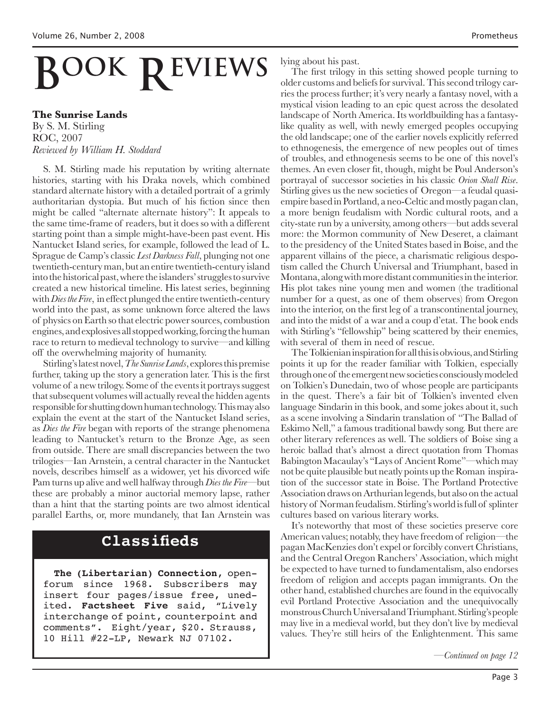# **BOOK REVIEWS**

#### **The Sunrise Lands**

By S. M. Stirling ROC, 2007 *Reviewed by William H. Stoddard*

S. M. Stirling made his reputation by writing alternate histories, starting with his Draka novels, which combined standard alternate history with a detailed portrait of a grimly authoritarian dystopia. But much of his fiction since then might be called "alternate alternate history": It appeals to the same time-frame of readers, but it does so with a different starting point than a simple might-have-been past event. His Nantucket Island series, for example, followed the lead of L. Sprague de Camp's classic *Lest Darkness Fall*, plunging not one twentieth-century man, but an entire twentieth-century island into the historical past, where the islanders' struggles to survive created a new historical timeline. His latest series, beginning with *Dies the Fire*, in effect plunged the entire twentieth-century world into the past, as some unknown force altered the laws of physics on Earth so that electric power sources, combustion engines, and explosives all stopped working, forcing the human race to return to medieval technology to survive—and killing off the overwhelming majority of humanity.

Stirling's latest novel, *The Sunrise Lands*, explores this premise further, taking up the story a generation later. This is the first volume of a new trilogy. Some of the events it portrays suggest that subsequent volumes will actually reveal the hidden agents responsible for shutting down human technology. This may also explain the event at the start of the Nantucket Island series, as *Dies the Fire* began with reports of the strange phenomena leading to Nantucket's return to the Bronze Age, as seen from outside. There are small discrepancies between the two trilogies—Ian Arnstein, a central character in the Nantucket novels, describes himself as a widower, yet his divorced wife Pam turns up alive and well halfway through *Dies the Fire*—but these are probably a minor auctorial memory lapse, rather than a hint that the starting points are two almost identical parallel Earths, or, more mundanely, that Ian Arnstein was

## **Classifieds**

**The (Libertarian) Connection**, openforum since 1968. Subscribers may insert four pages/issue free, unedited. **Factsheet Five** said, "Lively interchange of point, counterpoint and comments". Eight/year, \$20. Strauss, 10 Hill #22-LP, Newark NJ 07102.

lying about his past.

The first trilogy in this setting showed people turning to older customs and beliefs for survival. This second trilogy carries the process further; it's very nearly a fantasy novel, with a mystical vision leading to an epic quest across the desolated landscape of North America. Its worldbuilding has a fantasylike quality as well, with newly emerged peoples occupying the old landscape; one of the earlier novels explicitly referred to ethnogenesis, the emergence of new peoples out of times of troubles, and ethnogenesis seems to be one of this novel's themes. An even closer fit, though, might be Poul Anderson's portrayal of successor societies in his classic *Orion Shall Rise*. Stirling gives us the new societies of Oregon—a feudal quasiempire based in Portland, a neo-Celtic and mostly pagan clan, a more benign feudalism with Nordic cultural roots, and a city-state run by a university, among others—but adds several more: the Mormon community of New Deseret, a claimant to the presidency of the United States based in Boise, and the apparent villains of the piece, a charismatic religious despotism called the Church Universal and Triumphant, based in Montana, along with more distant communities in the interior. His plot takes nine young men and women (the traditional number for a quest, as one of them observes) from Oregon into the interior, on the first leg of a transcontinental journey, and into the midst of a war and a coup d'etat. The book ends with Stirling's "fellowship" being scattered by their enemies, with several of them in need of rescue.

The Tolkienian inspiration for all this is obvious, and Stirling points it up for the reader familiar with Tolkien, especially through one of the emergent new societies consciously modeled on Tolkien's Dunedain, two of whose people are participants in the quest. There's a fair bit of Tolkien's invented elven language Sindarin in this book, and some jokes about it, such as a scene involving a Sindarin translation of "The Ballad of Eskimo Nell," a famous traditional bawdy song. But there are other literary references as well. The soldiers of Boise sing a heroic ballad that's almost a direct quotation from Thomas Babington Macaulay's "Lays of Ancient Rome"—which may not be quite plausible but neatly points up the Roman inspiration of the successor state in Boise. The Portland Protective Association draws on Arthurian legends, but also on the actual history of Norman feudalism. Stirling's world is full of splinter cultures based on various literary works.

It's noteworthy that most of these societies preserve core American values; notably, they have freedom of religion—the pagan MacKenzies don't expel or forcibly convert Christians, and the Central Oregon Ranchers' Association, which might be expected to have turned to fundamentalism, also endorses freedom of religion and accepts pagan immigrants. On the other hand, established churches are found in the equivocally evil Portland Protective Association and the unequivocally monstrous Church Universal and Triumphant. Stirling's people may live in a medieval world, but they don't live by medieval values. They're still heirs of the Enlightenment. This same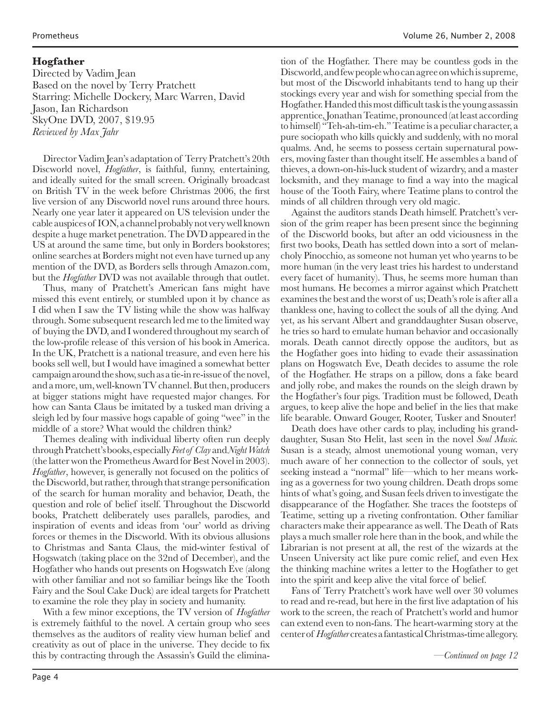#### **Hogfather**

Directed by Vadim Jean Based on the novel by Terry Pratchett Starring: Michelle Dockery, Marc Warren, David Jason, Ian Richardson SkyOne DVD, 2007, \$19.95 *Reviewed by Max Jahr*

Director Vadim Jean's adaptation of Terry Pratchett's 20th Discworld novel, *Hogfather*, is faithful, funny, entertaining, and ideally suited for the small screen. Originally broadcast on British TV in the week before Christmas 2006, the first live version of any Discworld novel runs around three hours. Nearly one year later it appeared on US television under the cable auspices of ION, a channel probably not very well known despite a huge market penetration. The DVD appeared in the US at around the same time, but only in Borders bookstores; online searches at Borders might not even have turned up any mention of the DVD, as Borders sells through Amazon.com, but the *Hogfather* DVD was not available through that outlet.

Thus, many of Pratchett's American fans might have missed this event entirely, or stumbled upon it by chance as I did when I saw the TV listing while the show was halfway through. Some subsequent research led me to the limited way of buying the DVD, and I wondered throughout my search of the low-profile release of this version of his book in America. In the UK, Pratchett is a national treasure, and even here his books sell well, but I would have imagined a somewhat better campaign around the show, such as a tie-in re-issue of the novel, and a more, um, well-known TV channel. But then, producers at bigger stations might have requested major changes. For how can Santa Claus be imitated by a tusked man driving a sleigh led by four massive hogs capable of going "wee" in the middle of a store? What would the children think?

Themes dealing with individual liberty often run deeply through Pratchett's books, especially *Feet of Clay* and *Night Watch* (the latter won the Prometheus Award for Best Novel in 2003). *Hogfather*, however, is generally not focused on the politics of the Discworld, but rather, through that strange personification of the search for human morality and behavior, Death, the question and role of belief itself. Throughout the Discworld books, Pratchett deliberately uses parallels, parodies, and inspiration of events and ideas from 'our' world as driving forces or themes in the Discworld. With its obvious allusions to Christmas and Santa Claus, the mid-winter festival of Hogswatch (taking place on the 32nd of December), and the Hogfather who hands out presents on Hogswatch Eve (along with other familiar and not so familiar beings like the Tooth Fairy and the Soul Cake Duck) are ideal targets for Pratchett to examine the role they play in society and humanity.

With a few minor exceptions, the TV version of *Hogfather* is extremely faithful to the novel. A certain group who sees themselves as the auditors of reality view human belief and creativity as out of place in the universe. They decide to fix this by contracting through the Assassin's Guild the elimina-

tion of the Hogfather. There may be countless gods in the Discworld, and few people who can agree on which is supreme, but most of the Discworld inhabitants tend to hang up their stockings every year and wish for something special from the Hogfather. Handed this most difficult task is the young assassin apprentice, Jonathan Teatime, pronounced (at least according to himself) "Teh-ah-tim-eh." Teatime is a peculiar character, a pure sociopath who kills quickly and suddenly, with no moral qualms. And, he seems to possess certain supernatural powers, moving faster than thought itself. He assembles a band of thieves, a down-on-his-luck student of wizardry, and a master locksmith, and they manage to find a way into the magical house of the Tooth Fairy, where Teatime plans to control the minds of all children through very old magic.

Against the auditors stands Death himself. Pratchett's version of the grim reaper has been present since the beginning of the Discworld books, but after an odd viciousness in the first two books, Death has settled down into a sort of melancholy Pinocchio, as someone not human yet who yearns to be more human (in the very least tries his hardest to understand every facet of humanity). Thus, he seems more human than most humans. He becomes a mirror against which Pratchett examines the best and the worst of us; Death's role is after all a thankless one, having to collect the souls of all the dying. And yet, as his servant Albert and granddaughter Susan observe, he tries so hard to emulate human behavior and occasionally morals. Death cannot directly oppose the auditors, but as the Hogfather goes into hiding to evade their assassination plans on Hogswatch Eve, Death decides to assume the role of the Hogfather. He straps on a pillow, dons a fake beard and jolly robe, and makes the rounds on the sleigh drawn by the Hogfather's four pigs. Tradition must be followed, Death argues, to keep alive the hope and belief in the lies that make life bearable. Onward Gouger, Rooter, Tusker and Snouter!

Death does have other cards to play, including his granddaughter, Susan Sto Helit, last seen in the novel *Soul Music.*  Susan is a steady, almost unemotional young woman, very much aware of her connection to the collector of souls, yet seeking instead a "normal" life—which to her means working as a governess for two young children. Death drops some hints of what's going, and Susan feels driven to investigate the disappearance of the Hogfather. She traces the footsteps of Teatime, setting up a riveting confrontation. Other familiar characters make their appearance as well. The Death of Rats plays a much smaller role here than in the book, and while the Librarian is not present at all, the rest of the wizards at the Unseen University act like pure comic relief, and even Hex the thinking machine writes a letter to the Hogfather to get into the spirit and keep alive the vital force of belief.

Fans of Terry Pratchett's work have well over 30 volumes to read and re-read, but here in the first live adaptation of his work to the screen, the reach of Pratchett's world and humor can extend even to non-fans. The heart-warming story at the center of *Hogfather* creates a fantastical Christmas-time allegory.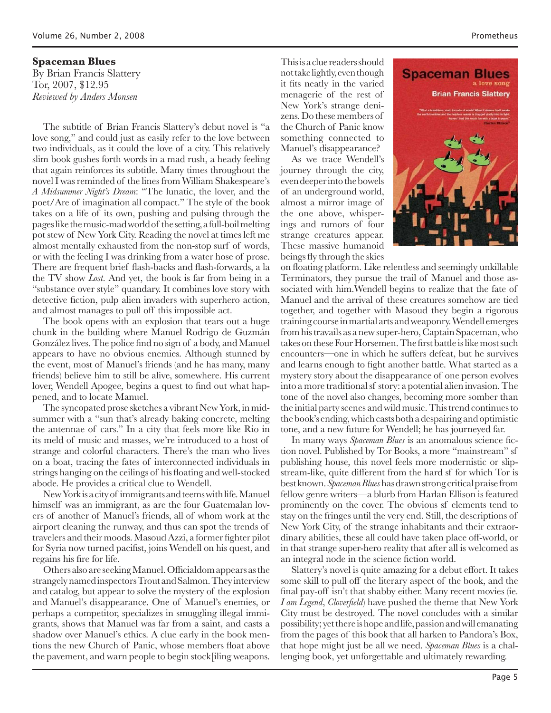#### **Spaceman Blues**

By Brian Francis Slattery Tor, 2007, \$12.95 *Reviewed by Anders Monsen*

The subtitle of Brian Francis Slattery's debut novel is "a love song," and could just as easily refer to the love between two individuals, as it could the love of a city. This relatively slim book gushes forth words in a mad rush, a heady feeling that again reinforces its subtitle. Many times throughout the novel I was reminded of the lines from William Shakespeare's *A Midsummer Night's Dream*: "The lunatic, the lover, and the poet/Are of imagination all compact." The style of the book takes on a life of its own, pushing and pulsing through the pages like the music-mad world of the setting, a full-boil melting pot stew of New York City. Reading the novel at times left me almost mentally exhausted from the non-stop surf of words, or with the feeling I was drinking from a water hose of prose. There are frequent brief flash-backs and flash-forwards, a la the TV show *Lost*. And yet, the book is far from being in a "substance over style" quandary. It combines love story with detective fiction, pulp alien invaders with superhero action, and almost manages to pull off this impossible act.

The book opens with an explosion that tears out a huge chunk in the building where Manuel Rodrigo de Guzmán González lives. The police find no sign of a body, and Manuel appears to have no obvious enemies. Although stunned by the event, most of Manuel's friends (and he has many, many friends) believe him to still be alive, somewhere. His current lover, Wendell Apogee, begins a quest to find out what happened, and to locate Manuel.

The syncopated prose sketches a vibrant New York, in midsummer with a "sun that's already baking concrete, melting the antennae of cars." In a city that feels more like Rio in its meld of music and masses, we're introduced to a host of strange and colorful characters. There's the man who lives on a boat, tracing the fates of interconnected individuals in strings hanging on the ceilings of his floating and well-stocked abode. He provides a critical clue to Wendell.

New York is a city of immigrants and teems with life. Manuel himself was an immigrant, as are the four Guatemalan lovers of another of Manuel's friends, all of whom work at the airport cleaning the runway, and thus can spot the trends of travelers and their moods. Masoud Azzi, a former fighter pilot for Syria now turned pacifist, joins Wendell on his quest, and regains his fire for life.

Others also are seeking Manuel. Officialdom appears as the strangely named inspectors Trout and Salmon. They interview and catalog, but appear to solve the mystery of the explosion and Manuel's disappearance. One of Manuel's enemies, or perhaps a competitor, specializes in smuggling illegal immigrants, shows that Manuel was far from a saint, and casts a shadow over Manuel's ethics. A clue early in the book mentions the new Church of Panic, whose members float above the pavement, and warn people to begin stock[iling weapons.

This is a clue readers should not take lightly, even though it fits neatly in the varied menagerie of the rest of New York's strange denizens. Do these members of the Church of Panic know something connected to Manuel's disappearance?

As we trace Wendell's journey through the city, even deeper into the bowels of an underground world, almost a mirror image of the one above, whisperings and rumors of four strange creatures appear. These massive humanoid beings fly through the skies



on floating platform. Like relentless and seemingly unkillable Terminators, they pursue the trail of Manuel and those associated with him.Wendell begins to realize that the fate of Manuel and the arrival of these creatures somehow are tied together, and together with Masoud they begin a rigorous training course in martial arts and weaponry. Wendell emerges from his travails as a new super-hero, Captain Spaceman, who takes on these Four Horsemen. The first battle is like most such encounters—one in which he suffers defeat, but he survives and learns enough to fight another battle. What started as a mystery story about the disappearance of one person evolves into a more traditional sf story: a potential alien invasion. The tone of the novel also changes, becoming more somber than the initial party scenes and wild music. This trend continues to the book's ending, which casts both a despairing and optimistic tone, and a new future for Wendell; he has journeyed far.

In many ways *Spaceman Blues* is an anomalous science fiction novel. Published by Tor Books, a more "mainstream" sf publishing house, this novel feels more modernistic or slipstream-like, quite different from the hard sf for which Tor is best known. *Spaceman Blues* has drawn strong critical praise from fellow genre writers—a blurb from Harlan Ellison is featured prominently on the cover. The obvious sf elements tend to stay on the fringes until the very end. Still, the descriptions of New York City, of the strange inhabitants and their extraordinary abilities, these all could have taken place off-world, or in that strange super-hero reality that after all is welcomed as an integral node in the science fiction world.

Slattery's novel is quite amazing for a debut effort. It takes some skill to pull off the literary aspect of the book, and the final pay-off isn't that shabby either. Many recent movies (ie. *I am Legend*, *Cloverfield*) have pushed the theme that New York City must be destroyed. The novel concludes with a similar possibility; yet there is hope and life, passion and will emanating from the pages of this book that all harken to Pandora's Box, that hope might just be all we need. *Spaceman Blues* is a challenging book, yet unforgettable and ultimately rewarding.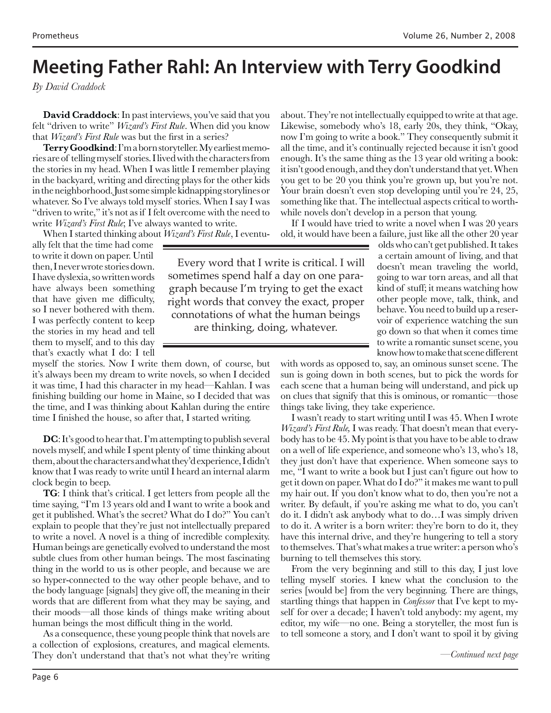## **Meeting Father Rahl: An Interview with Terry Goodkind**

*By David Craddock*

**David Craddock**: In past interviews, you've said that you felt "driven to write" *Wizard's First Rule*. When did you know that *Wizard's First Rule* was but the first in a series?

**Terry Goodkind**: I'm a born storyteller. My earliest memories are of telling myself stories. I lived with the characters from the stories in my head. When I was little I remember playing in the backyard, writing and directing plays for the other kids in the neighborhood. Just some simple kidnapping storylines or whatever. So I've always told myself stories. When I say I was "driven to write," it's not as if I felt overcome with the need to write *Wizard's First Rule*; I've always wanted to write.

about. They're not intellectually equipped to write at that age. Likewise, somebody who's 18, early 20s, they think, "Okay, now I'm going to write a book." They consequently submit it all the time, and it's continually rejected because it isn't good enough. It's the same thing as the 13 year old writing a book: it isn't good enough, and they don't understand that yet. When you get to be 20 you think you're grown up, but you're not. Your brain doesn't even stop developing until you're 24, 25, something like that. The intellectual aspects critical to worthwhile novels don't develop in a person that young.

If I would have tried to write a novel when I was 20 years old, it would have been a failure, just like all the other 20 year

When I started thinking about *Wizard's First Rule*, I eventually felt that the time had come to write it down on paper. Until then, I never wrote stories down. I have dyslexia, so written words have always been something that have given me difficulty, so I never bothered with them. I was perfectly content to keep the stories in my head and tell them to myself, and to this day that's exactly what I do: I tell

myself the stories. Now I write them down, of course, but it's always been my dream to write novels, so when I decided it was time, I had this character in my head—Kahlan. I was finishing building our home in Maine, so I decided that was the time, and I was thinking about Kahlan during the entire time I finished the house, so after that, I started writing.

**DC**: It's good to hear that. I'm attempting to publish several novels myself, and while I spent plenty of time thinking about them, about the characters and what they'd experience, I didn't know that I was ready to write until I heard an internal alarm clock begin to beep.

**TG**: I think that's critical. I get letters from people all the time saying, "I'm 13 years old and I want to write a book and get it published. What's the secret? What do I do?" You can't explain to people that they're just not intellectually prepared to write a novel. A novel is a thing of incredible complexity. Human beings are genetically evolved to understand the most subtle clues from other human beings. The most fascinating thing in the world to us is other people, and because we are so hyper-connected to the way other people behave, and to the body language [signals] they give off, the meaning in their words that are different from what they may be saying, and their moods—all those kinds of things make writing about human beings the most difficult thing in the world.

As a consequence, these young people think that novels are a collection of explosions, creatures, and magical elements. They don't understand that that's not what they're writing

Every word that I write is critical. I will sometimes spend half a day on one paragraph because I'm trying to get the exact right words that convey the exact, proper connotations of what the human beings are thinking, doing, whatever.

olds who can't get published. It takes a certain amount of living, and that doesn't mean traveling the world, going to war torn areas, and all that kind of stuff; it means watching how other people move, talk, think, and behave. You need to build up a reservoir of experience watching the sun go down so that when it comes time to write a romantic sunset scene, you know how to make that scene different

with words as opposed to, say, an ominous sunset scene. The sun is going down in both scenes, but to pick the words for each scene that a human being will understand, and pick up on clues that signify that this is ominous, or romantic—those things take living, they take experience.

I wasn't ready to start writing until I was 45. When I wrote *Wizard's First Rule,* I was ready. That doesn't mean that everybody has to be 45. My point is that you have to be able to draw on a well of life experience, and someone who's 13, who's 18, they just don't have that experience. When someone says to me, "I want to write a book but I just can't figure out how to get it down on paper. What do I do?" it makes me want to pull my hair out. If you don't know what to do, then you're not a writer. By default, if you're asking me what to do, you can't do it. I didn't ask anybody what to do…I was simply driven to do it. A writer is a born writer: they're born to do it, they have this internal drive, and they're hungering to tell a story to themselves. That's what makes a true writer: a person who's burning to tell themselves this story.

From the very beginning and still to this day, I just love telling myself stories. I knew what the conclusion to the series [would be] from the very beginning. There are things, startling things that happen in *Confessor* that I've kept to myself for over a decade; I haven't told anybody: my agent, my editor, my wife—no one. Being a storyteller, the most fun is to tell someone a story, and I don't want to spoil it by giving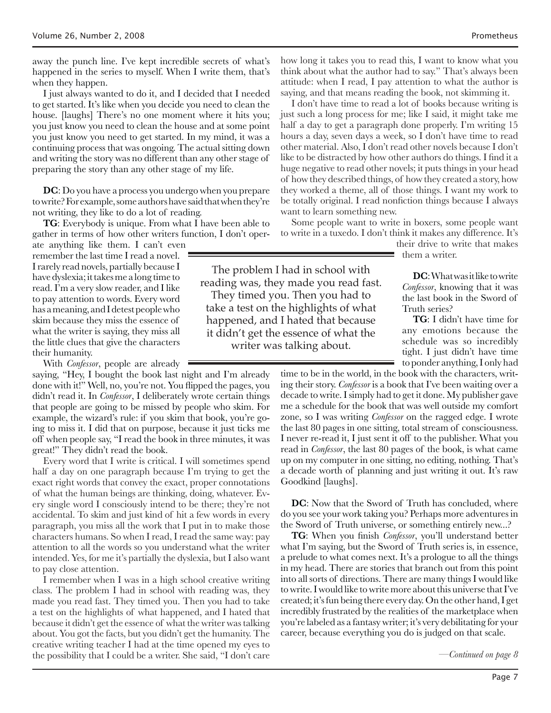away the punch line. I've kept incredible secrets of what's happened in the series to myself. When I write them, that's when they happen.

I just always wanted to do it, and I decided that I needed to get started. It's like when you decide you need to clean the house. [laughs] There's no one moment where it hits you; you just know you need to clean the house and at some point you just know you need to get started. In my mind, it was a continuing process that was ongoing. The actual sitting down and writing the story was no different than any other stage of preparing the story than any other stage of my life.

**DC**: Do you have a process you undergo when you prepare to write? For example, some authors have said that when they're not writing, they like to do a lot of reading.

**TG**: Everybody is unique. From what I have been able to gather in terms of how other writers function, I don't oper-

ate anything like them. I can't even remember the last time I read a novel. I rarely read novels, partially because I have dyslexia; it takes me a long time to read. I'm a very slow reader, and I like to pay attention to words. Every word has a meaning, and I detest people who skim because they miss the essence of what the writer is saying, they miss all the little clues that give the characters their humanity.

With *Confessor*, people are already

saying, "Hey, I bought the book last night and I'm already done with it!" Well, no, you're not. You flipped the pages, you didn't read it. In *Confessor*, I deliberately wrote certain things that people are going to be missed by people who skim. For example, the wizard's rule: if you skim that book, you're going to miss it. I did that on purpose, because it just ticks me off when people say, "I read the book in three minutes, it was great!" They didn't read the book.

Every word that I write is critical. I will sometimes spend half a day on one paragraph because I'm trying to get the exact right words that convey the exact, proper connotations of what the human beings are thinking, doing, whatever. Every single word I consciously intend to be there; they're not accidental. To skim and just kind of hit a few words in every paragraph, you miss all the work that I put in to make those characters humans. So when I read, I read the same way: pay attention to all the words so you understand what the writer intended. Yes, for me it's partially the dyslexia, but I also want to pay close attention.

I remember when I was in a high school creative writing class. The problem I had in school with reading was, they made you read fast. They timed you. Then you had to take a test on the highlights of what happened, and I hated that because it didn't get the essence of what the writer was talking about. You got the facts, but you didn't get the humanity. The creative writing teacher I had at the time opened my eyes to the possibility that I could be a writer. She said, "I don't care

how long it takes you to read this, I want to know what you think about what the author had to say." That's always been attitude: when I read, I pay attention to what the author is saying, and that means reading the book, not skimming it.

I don't have time to read a lot of books because writing is just such a long process for me; like I said, it might take me half a day to get a paragraph done properly. I'm writing 15 hours a day, seven days a week, so I don't have time to read other material. Also, I don't read other novels because I don't like to be distracted by how other authors do things. I find it a huge negative to read other novels; it puts things in your head of how they described things, of how they created a story, how they worked a theme, all of those things. I want my work to be totally original. I read nonfiction things because I always want to learn something new.

Some people want to write in boxers, some people want to write in a tuxedo. I don't think it makes any difference. It's

> their drive to write that makes them a writer.

The problem I had in school with reading was, they made you read fast. They timed you. Then you had to take a test on the highlights of what happened, and I hated that because it didn't get the essence of what the writer was talking about.

**DC**: What was it like to write *Confessor*, knowing that it was the last book in the Sword of Truth series?

**TG**: I didn't have time for any emotions because the schedule was so incredibly tight. I just didn't have time to ponder anything, I only had

time to be in the world, in the book with the characters, writing their story. *Confessor* is a book that I've been waiting over a decade to write. I simply had to get it done. My publisher gave me a schedule for the book that was well outside my comfort zone, so I was writing *Confessor* on the ragged edge. I wrote the last 80 pages in one sitting, total stream of consciousness. I never re-read it, I just sent it off to the publisher. What you read in *Confessor*, the last 80 pages of the book, is what came up on my computer in one sitting, no editing, nothing. That's a decade worth of planning and just writing it out. It's raw Goodkind [laughs].

**DC**: Now that the Sword of Truth has concluded, where do you see your work taking you? Perhaps more adventures in the Sword of Truth universe, or something entirely new...?

**TG**: When you finish *Confessor*, you'll understand better what I'm saying, but the Sword of Truth series is, in essence, a prelude to what comes next. It's a prologue to all the things in my head. There are stories that branch out from this point into all sorts of directions. There are many things I would like to write. I would like to write more about this universe that I've created; it's fun being there every day. On the other hand, I get incredibly frustrated by the realities of the marketplace when you're labeled as a fantasy writer; it's very debilitating for your career, because everything you do is judged on that scale.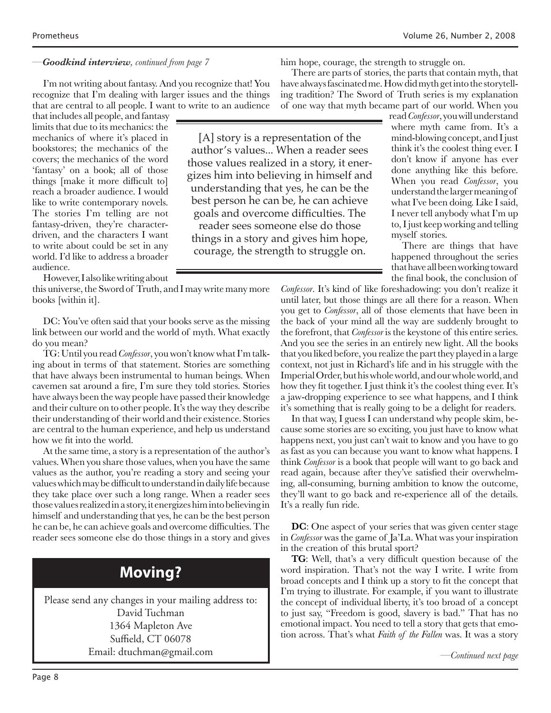#### *—Goodkind interview, continued from page 7*

I'm not writing about fantasy. And you recognize that! You recognize that I'm dealing with larger issues and the things that are central to all people. I want to write to an audience

that includes all people, and fantasy limits that due to its mechanics: the mechanics of where it's placed in bookstores; the mechanics of the covers; the mechanics of the word 'fantasy' on a book; all of those things [make it more difficult to] reach a broader audience. I would like to write contemporary novels. The stories I'm telling are not fantasy-driven, they're characterdriven, and the characters I want to write about could be set in any world. I'd like to address a broader audience.

However, I also like writing about

this universe, the Sword of Truth, and I may write many more books [within it].

DC: You've often said that your books serve as the missing link between our world and the world of myth. What exactly do you mean?

TG: Until you read *Confessor*, you won't know what I'm talking about in terms of that statement. Stories are something that have always been instrumental to human beings. When cavemen sat around a fire, I'm sure they told stories. Stories have always been the way people have passed their knowledge and their culture on to other people. It's the way they describe their understanding of their world and their existence. Stories are central to the human experience, and help us understand how we fit into the world.

At the same time, a story is a representation of the author's values. When you share those values, when you have the same values as the author, you're reading a story and seeing your values which may be difficult to understand in daily life because they take place over such a long range. When a reader sees those values realized in a story, it energizes him into believing in himself and understanding that yes, he can be the best person he can be, he can achieve goals and overcome difficulties. The reader sees someone else do those things in a story and gives

## **Moving?**

Please send any changes in your mailing address to: David Tuchman 1364 Mapleton Ave Suffield, CT 06078 Email: dtuchman@gmail.com

him hope, courage, the strength to struggle on.

There are parts of stories, the parts that contain myth, that have always fascinated me. How did myth get into the storytelling tradition? The Sword of Truth series is my explanation of one way that myth became part of our world. When you

[A] story is a representation of the author's values... When a reader sees those values realized in a story, it energizes him into believing in himself and understanding that yes, he can be the best person he can be, he can achieve goals and overcome difficulties. The reader sees someone else do those things in a story and gives him hope, courage, the strength to struggle on.

read *Confessor*, you will understand where myth came from. It's a mind-blowing concept, and I just think it's the coolest thing ever. I don't know if anyone has ever done anything like this before. When you read *Confessor*, you understand the larger meaning of what I've been doing. Like I said, I never tell anybody what I'm up to, I just keep working and telling myself stories.

There are things that have happened throughout the series that have all been working toward the final book, the conclusion of

*Confessor*. It's kind of like foreshadowing: you don't realize it until later, but those things are all there for a reason. When you get to *Confessor*, all of those elements that have been in the back of your mind all the way are suddenly brought to the forefront, that *Confessor* is the keystone of this entire series. And you see the series in an entirely new light. All the books that you liked before, you realize the part they played in a large context, not just in Richard's life and in his struggle with the Imperial Order, but his whole world, and our whole world, and how they fit together. I just think it's the coolest thing ever. It's a jaw-dropping experience to see what happens, and I think it's something that is really going to be a delight for readers.

In that way, I guess I can understand why people skim, because some stories are so exciting, you just have to know what happens next, you just can't wait to know and you have to go as fast as you can because you want to know what happens. I think *Confessor* is a book that people will want to go back and read again, because after they've satisfied their overwhelming, all-consuming, burning ambition to know the outcome, they'll want to go back and re-experience all of the details. It's a really fun ride.

**DC**: One aspect of your series that was given center stage in *Confessor* was the game of Ja'La. What was your inspiration in the creation of this brutal sport?

**TG**: Well, that's a very difficult question because of the word inspiration. That's not the way I write. I write from broad concepts and I think up a story to fit the concept that I'm trying to illustrate. For example, if you want to illustrate the concept of individual liberty, it's too broad of a concept to just say, "Freedom is good, slavery is bad." That has no emotional impact. You need to tell a story that gets that emotion across. That's what *Faith of the Fallen* was. It was a story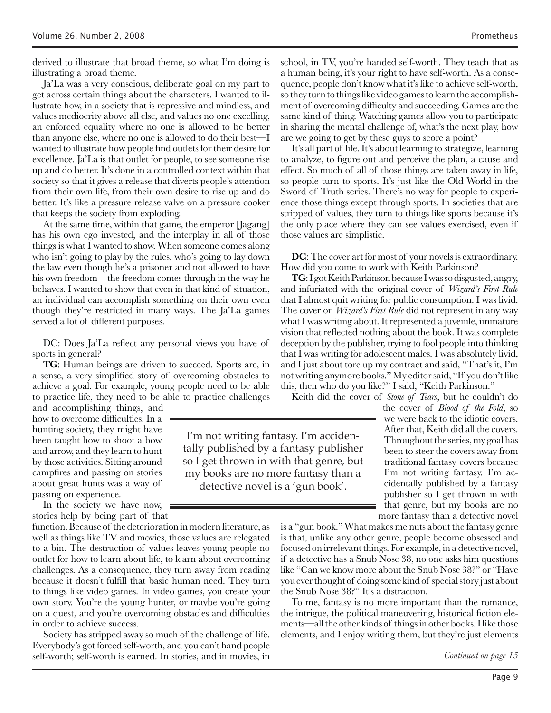derived to illustrate that broad theme, so what I'm doing is illustrating a broad theme.

Ja'La was a very conscious, deliberate goal on my part to get across certain things about the characters. I wanted to illustrate how, in a society that is repressive and mindless, and values mediocrity above all else, and values no one excelling, an enforced equality where no one is allowed to be better than anyone else, where no one is allowed to do their best—I wanted to illustrate how people find outlets for their desire for excellence. Ja'La is that outlet for people, to see someone rise up and do better. It's done in a controlled context within that society so that it gives a release that diverts people's attention from their own life, from their own desire to rise up and do better. It's like a pressure release valve on a pressure cooker that keeps the society from exploding.

At the same time, within that game, the emperor [Jagang] has his own ego invested, and the interplay in all of those things is what I wanted to show. When someone comes along who isn't going to play by the rules, who's going to lay down the law even though he's a prisoner and not allowed to have his own freedom—the freedom comes through in the way he behaves. I wanted to show that even in that kind of situation, an individual can accomplish something on their own even though they're restricted in many ways. The Ja'La games served a lot of different purposes.

DC: Does Ja'La reflect any personal views you have of sports in general?

**TG**: Human beings are driven to succeed. Sports are, in a sense, a very simplified story of overcoming obstacles to achieve a goal. For example, young people need to be able to practice life, they need to be able to practice challenges

> I'm not writing fantasy. I'm accidentally published by a fantasy publisher so I get thrown in with that genre, but my books are no more fantasy than a detective novel is a 'gun book'.

and accomplishing things, and how to overcome difficulties. In a hunting society, they might have been taught how to shoot a bow and arrow, and they learn to hunt by those activities. Sitting around campfires and passing on stories about great hunts was a way of passing on experience.

In the society we have now, stories help by being part of that

function. Because of the deterioration in modern literature, as well as things like TV and movies, those values are relegated to a bin. The destruction of values leaves young people no outlet for how to learn about life, to learn about overcoming challenges. As a consequence, they turn away from reading because it doesn't fulfill that basic human need. They turn to things like video games. In video games, you create your own story. You're the young hunter, or maybe you're going on a quest, and you're overcoming obstacles and difficulties in order to achieve success.

Society has stripped away so much of the challenge of life. Everybody's got forced self-worth, and you can't hand people self-worth; self-worth is earned. In stories, and in movies, in school, in TV, you're handed self-worth. They teach that as a human being, it's your right to have self-worth. As a consequence, people don't know what it's like to achieve self-worth, so they turn to things like video games to learn the accomplishment of overcoming difficulty and succeeding. Games are the same kind of thing. Watching games allow you to participate in sharing the mental challenge of, what's the next play, how are we going to get by these guys to score a point?

It's all part of life. It's about learning to strategize, learning to analyze, to figure out and perceive the plan, a cause and effect. So much of all of those things are taken away in life, so people turn to sports. It's just like the Old World in the Sword of Truth series. There's no way for people to experience those things except through sports. In societies that are stripped of values, they turn to things like sports because it's the only place where they can see values exercised, even if those values are simplistic.

**DC**: The cover art for most of your novels is extraordinary. How did you come to work with Keith Parkinson?

**TG**: I got Keith Parkinson because I was so disgusted, angry, and infuriated with the original cover of *Wizard's First Rule* that I almost quit writing for public consumption. I was livid. The cover on *Wizard's First Rule* did not represent in any way what I was writing about. It represented a juvenile, immature vision that reflected nothing about the book. It was complete deception by the publisher, trying to fool people into thinking that I was writing for adolescent males. I was absolutely livid, and I just about tore up my contract and said, "That's it, I'm not writing anymore books." My editor said, "If you don't like this, then who do you like?" I said, "Keith Parkinson."

Keith did the cover of *Stone of Tears*, but he couldn't do

the cover of *Blood of the Fold*, so we were back to the idiotic covers. After that, Keith did all the covers. Throughout the series, my goal has been to steer the covers away from traditional fantasy covers because I'm not writing fantasy. I'm accidentally published by a fantasy publisher so I get thrown in with that genre, but my books are no more fantasy than a detective novel

is a "gun book." What makes me nuts about the fantasy genre is that, unlike any other genre, people become obsessed and focused on irrelevant things. For example, in a detective novel, if a detective has a Snub Nose 38, no one asks him questions like "Can we know more about the Snub Nose 38?" or "Have you ever thought of doing some kind of special story just about the Snub Nose 38?" It's a distraction.

To me, fantasy is no more important than the romance, the intrigue, the political maneuvering, historical fiction elements—all the other kinds of things in other books. I like those elements, and I enjoy writing them, but they're just elements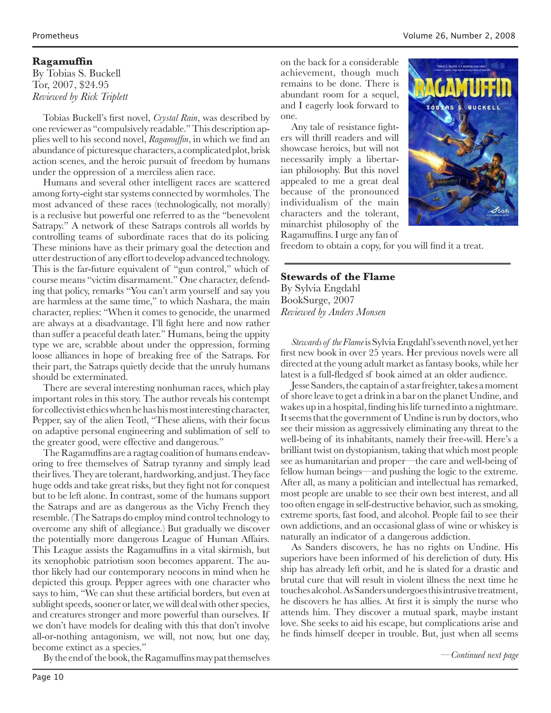#### **Ragamuffin**

By Tobias S. Buckell Tor, 2007, \$24.95 *Reviewed by Rick Triplett*

Tobias Buckell's first novel, *Crystal Rain*, was described by one reviewer as "compulsively readable." This description applies well to his second novel, *Ragamuffin*, in which we find an abundance of picturesque characters, a complicated plot, brisk action scenes, and the heroic pursuit of freedom by humans under the oppression of a merciless alien race.

Humans and several other intelligent races are scattered among forty-eight star systems connected by wormholes. The most advanced of these races (technologically, not morally) is a reclusive but powerful one referred to as the "benevolent Satrapy." A network of these Satraps controls all worlds by controlling teams of subordinate races that do its policing. These minions have as their primary goal the detection and utter destruction of any effort to develop advanced technology. This is the far-future equivalent of "gun control," which of course means "victim disarmament." One character, defending that policy, remarks "You can't arm yourself and say you are harmless at the same time," to which Nashara, the main character, replies: "When it comes to genocide, the unarmed are always at a disadvantage. I'll fight here and now rather than suffer a peaceful death later." Humans, being the uppity type we are, scrabble about under the oppression, forming loose alliances in hope of breaking free of the Satraps. For their part, the Satraps quietly decide that the unruly humans should be exterminated.

There are several interesting nonhuman races, which play important roles in this story. The author reveals his contempt for collectivist ethics when he has his most interesting character, Pepper, say of the alien Teotl, "These aliens, with their focus on adaptive personal engineering and sublimation of self to the greater good, were effective and dangerous."

The Ragamuffins are a ragtag coalition of humans endeavoring to free themselves of Satrap tyranny and simply lead their lives. They are tolerant, hardworking, and just. They face huge odds and take great risks, but they fight not for conquest but to be left alone. In contrast, some of the humans support the Satraps and are as dangerous as the Vichy French they resemble. (The Satraps do employ mind control technology to overcome any shift of allegiance.) But gradually we discover the potentially more dangerous League of Human Affairs. This League assists the Ragamuffins in a vital skirmish, but its xenophobic patriotism soon becomes apparent. The author likely had our contemporary neocons in mind when he depicted this group. Pepper agrees with one character who says to him, "We can shut these artificial borders, but even at sublight speeds, sooner or later, we will deal with other species, and creatures stronger and more powerful than ourselves. If we don't have models for dealing with this that don't involve all-or-nothing antagonism, we will, not now, but one day, become extinct as a species."

By the end of the book, the Ragamuffins may pat themselves

on the back for a considerable achievement, though much remains to be done. There is abundant room for a sequel, and I eagerly look forward to one.

Any tale of resistance fighters will thrill readers and will showcase heroics, but will not necessarily imply a libertarian philosophy. But this novel appealed to me a great deal because of the pronounced individualism of the main characters and the tolerant, minarchist philosophy of the Ragamuffins. I urge any fan of



freedom to obtain a copy, for you will find it a treat.

#### **Stewards of the Flame**

By Sylvia Engdahl BookSurge, 2007 *Reviewed by Anders Monsen*

*Stewards of the Flame* is Sylvia Engdahl's seventh novel, yet her first new book in over 25 years. Her previous novels were all directed at the young adult market as fantasy books, while her latest is a full-fledged sf book aimed at an older audience.

Jesse Sanders, the captain of a star freighter, takes a moment of shore leave to get a drink in a bar on the planet Undine, and wakes up in a hospital, finding his life turned into a nightmare. It seems that the government of Undine is run by doctors, who see their mission as aggressively eliminating any threat to the well-being of its inhabitants, namely their free-will. Here's a brilliant twist on dystopianism, taking that which most people see as humanitarian and proper—the care and well-being of fellow human beings—and pushing the logic to the extreme. After all, as many a politician and intellectual has remarked, most people are unable to see their own best interest, and all too often engage in self-destructive behavior, such as smoking, extreme sports, fast food, and alcohol. People fail to see their own addictions, and an occasional glass of wine or whiskey is naturally an indicator of a dangerous addiction.

As Sanders discovers, he has no rights on Undine. His superiors have been informed of his dereliction of duty. His ship has already left orbit, and he is slated for a drastic and brutal cure that will result in violent illness the next time he touches alcohol. As Sanders undergoes this intrusive treatment, he discovers he has allies. At first it is simply the nurse who attends him. They discover a mutual spark, maybe instant love. She seeks to aid his escape, but complications arise and he finds himself deeper in trouble. But, just when all seems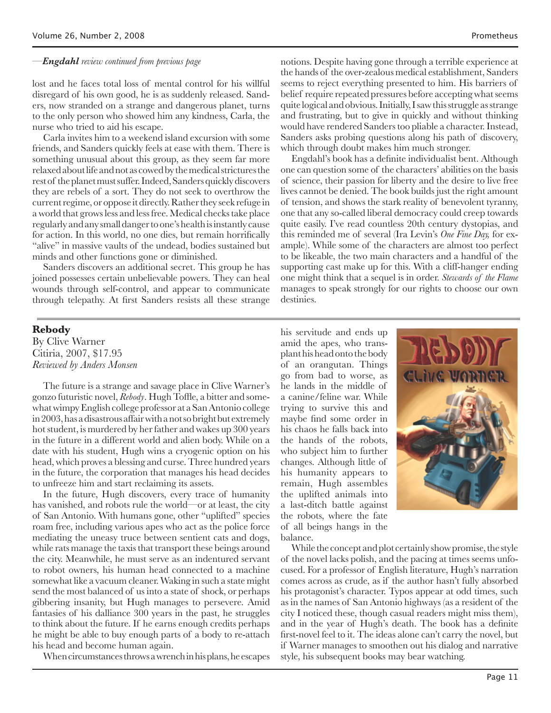lost and he faces total loss of mental control for his willful disregard of his own good, he is as suddenly released. Sanders, now stranded on a strange and dangerous planet, turns to the only person who showed him any kindness, Carla, the nurse who tried to aid his escape.

Carla invites him to a weekend island excursion with some friends, and Sanders quickly feels at ease with them. There is something unusual about this group, as they seem far more relaxed about life and not as cowed by the medical strictures the rest of the planet must suffer. Indeed, Sanders quickly discovers they are rebels of a sort. They do not seek to overthrow the current regime, or oppose it directly. Rather they seek refuge in a world that grows less and less free. Medical checks take place regularly and any small danger to one's health is instantly cause for action. In this world, no one dies, but remain horrifically "alive" in massive vaults of the undead, bodies sustained but minds and other functions gone or diminished.

Sanders discovers an additional secret. This group he has joined possesses certain unbelievable powers. They can heal wounds through self-control, and appear to communicate through telepathy. At first Sanders resists all these strange

*—Engdahl review continued from previous page* notions. Despite having gone through a terrible experience at the hands of the over-zealous medical establishment, Sanders seems to reject everything presented to him. His barriers of belief require repeated pressures before accepting what seems quite logical and obvious. Initially, I saw this struggle as strange and frustrating, but to give in quickly and without thinking would have rendered Sanders too pliable a character. Instead, Sanders asks probing questions along his path of discovery, which through doubt makes him much stronger.

> Engdahl's book has a definite individualist bent. Although one can question some of the characters' abilities on the basis of science, their passion for liberty and the desire to live free lives cannot be denied. The book builds just the right amount of tension, and shows the stark reality of benevolent tyranny, one that any so-called liberal democracy could creep towards quite easily. I've read countless 20th century dystopias, and this reminded me of several (Ira Levin's *One Fine Day,* for example). While some of the characters are almost too perfect to be likeable, the two main characters and a handful of the supporting cast make up for this. With a cliff-hanger ending one might think that a sequel is in order. *Stewards of the Flame* manages to speak strongly for our rights to choose our own destinies.

#### **Rebody**

By Clive Warner Citiria, 2007, \$17.95 *Reviewed by Anders Monsen*

The future is a strange and savage place in Clive Warner's gonzo futuristic novel, *Rebody*. Hugh Toffle, a bitter and somewhat wimpy English college professor at a San Antonio college in 2003, has a disastrous affair with a not so bright but extremely hot student, is murdered by her father and wakes up 300 years in the future in a different world and alien body. While on a date with his student, Hugh wins a cryogenic option on his head, which proves a blessing and curse. Three hundred years in the future, the corporation that manages his head decides to unfreeze him and start reclaiming its assets.

In the future, Hugh discovers, every trace of humanity has vanished, and robots rule the world—or at least, the city of San Antonio. With humans gone, other "uplifted" species roam free, including various apes who act as the police force mediating the uneasy truce between sentient cats and dogs, while rats manage the taxis that transport these beings around the city. Meanwhile, he must serve as an indentured servant to robot owners, his human head connected to a machine somewhat like a vacuum cleaner. Waking in such a state might send the most balanced of us into a state of shock, or perhaps gibbering insanity, but Hugh manages to persevere. Amid fantasies of his dalliance 300 years in the past, he struggles to think about the future. If he earns enough credits perhaps he might be able to buy enough parts of a body to re-attach his head and become human again.

When circumstances throws a wrench in his plans, he escapes

his servitude and ends up amid the apes, who transplant his head onto the body of an orangutan. Things go from bad to worse, as he lands in the middle of a canine/feline war. While trying to survive this and maybe find some order in his chaos he falls back into the hands of the robots, who subject him to further changes. Although little of his humanity appears to remain, Hugh assembles the uplifted animals into a last-ditch battle against the robots, where the fate of all beings hangs in the balance.



While the concept and plot certainly show promise, the style of the novel lacks polish, and the pacing at times seems unfocused. For a professor of English literature, Hugh's narration comes across as crude, as if the author hasn't fully absorbed his protagonist's character. Typos appear at odd times, such as in the names of San Antonio highways (as a resident of the city I noticed these, though casual readers might miss them), and in the year of Hugh's death. The book has a definite first-novel feel to it. The ideas alone can't carry the novel, but if Warner manages to smoothen out his dialog and narrative style, his subsequent books may bear watching.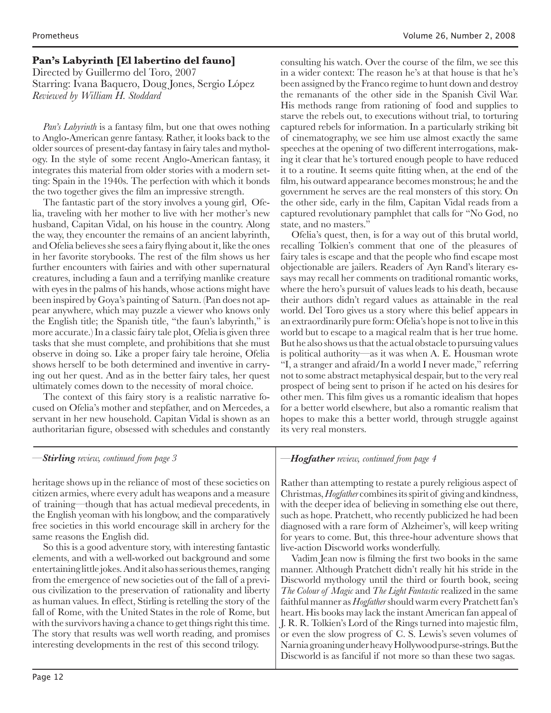#### **Pan's Labyrinth [El labertino del fauno]**

Directed by Guillermo del Toro, 2007 Starring: Ivana Baquero, Doug Jones, Sergio López *Reviewed by William H. Stoddard*

*Pan's Labyrinth* is a fantasy film, but one that owes nothing to Anglo-American genre fantasy. Rather, it looks back to the older sources of present-day fantasy in fairy tales and mythology. In the style of some recent Anglo-American fantasy, it integrates this material from older stories with a modern setting: Spain in the 1940s. The perfection with which it bonds the two together gives the film an impressive strength.

The fantastic part of the story involves a young girl, Ofelia, traveling with her mother to live with her mother's new husband, Capitan Vidal, on his house in the country. Along the way, they encounter the remains of an ancient labyrinth, and Ofelia believes she sees a fairy flying about it, like the ones in her favorite storybooks. The rest of the film shows us her further encounters with fairies and with other supernatural creatures, including a faun and a terrifying manlike creature with eyes in the palms of his hands, whose actions might have been inspired by Goya's painting of Saturn. (Pan does not appear anywhere, which may puzzle a viewer who knows only the English title; the Spanish title, "the faun's labyrinth," is more accurate.) In a classic fairy tale plot, Ofelia is given three tasks that she must complete, and prohibitions that she must observe in doing so. Like a proper fairy tale heroine, Ofelia shows herself to be both determined and inventive in carrying out her quest. And as in the better fairy tales, her quest ultimately comes down to the necessity of moral choice.

The context of this fairy story is a realistic narrative focused on Ofelia's mother and stepfather, and on Mercedes, a servant in her new household. Capitan Vidal is shown as an authoritarian figure, obsessed with schedules and constantly

consulting his watch. Over the course of the film, we see this in a wider context: The reason he's at that house is that he's been assigned by the Franco regime to hunt down and destroy the remanants of the other side in the Spanish Civil War. His methods range from rationing of food and supplies to starve the rebels out, to executions without trial, to torturing captured rebels for information. In a particularly striking bit of cinematography, we see him use almost exactly the same speeches at the opening of two different interrogations, making it clear that he's tortured enough people to have reduced it to a routine. It seems quite fitting when, at the end of the film, his outward appearance becomes monstrous; he and the government he serves are the real monsters of this story. On the other side, early in the film, Capitan Vidal reads from a captured revolutionary pamphlet that calls for "No God, no state, and no masters."

Ofelia's quest, then, is for a way out of this brutal world, recalling Tolkien's comment that one of the pleasures of fairy tales is escape and that the people who find escape most objectionable are jailers. Readers of Ayn Rand's literary essays may recall her comments on traditional romantic works, where the hero's pursuit of values leads to his death, because their authors didn't regard values as attainable in the real world. Del Toro gives us a story where this belief appears in an extraordinarily pure form: Ofelia's hope is not to live in this world but to escape to a magical realm that is her true home. But he also shows us that the actual obstacle to pursuing values is political authority—as it was when A. E. Housman wrote "I, a stranger and afraid/In a world I never made," referring not to some abstract metaphysical despair, but to the very real prospect of being sent to prison if he acted on his desires for other men. This film gives us a romantic idealism that hopes for a better world elsewhere, but also a romantic realism that hopes to make this a better world, through struggle against its very real monsters.

heritage shows up in the reliance of most of these societies on citizen armies, where every adult has weapons and a measure of training—though that has actual medieval precedents, in the English yeoman with his longbow, and the comparatively free societies in this world encourage skill in archery for the same reasons the English did.

So this is a good adventure story, with interesting fantastic elements, and with a well-worked out background and some entertaining little jokes. And it also has serious themes, ranging from the emergence of new societies out of the fall of a previous civilization to the preservation of rationality and liberty as human values. In effect, Stirling is retelling the story of the fall of Rome, with the United States in the role of Rome, but with the survivors having a chance to get things right this time. The story that results was well worth reading, and promises interesting developments in the rest of this second trilogy.

*—Stirling review, continued from page 3 —Hogfather review, continued from page 4*

Rather than attempting to restate a purely religious aspect of Christmas, *Hogfather* combines its spirit of giving and kindness, with the deeper idea of believing in something else out there, such as hope. Pratchett, who recently publicized he had been diagnosed with a rare form of Alzheimer's, will keep writing for years to come. But, this three-hour adventure shows that live-action Discworld works wonderfully.

Vadim Jean now is filming the first two books in the same manner. Although Pratchett didn't really hit his stride in the Discworld mythology until the third or fourth book, seeing *The Colour of Magic* and *The Light Fantastic* realized in the same faithful manner as *Hogfather* should warm every Pratchett fan's heart. His books may lack the instant American fan appeal of J. R. R. Tolkien's Lord of the Rings turned into majestic film, or even the slow progress of C. S. Lewis's seven volumes of Narnia groaning under heavy Hollywood purse-strings. But the Discworld is as fanciful if not more so than these two sagas.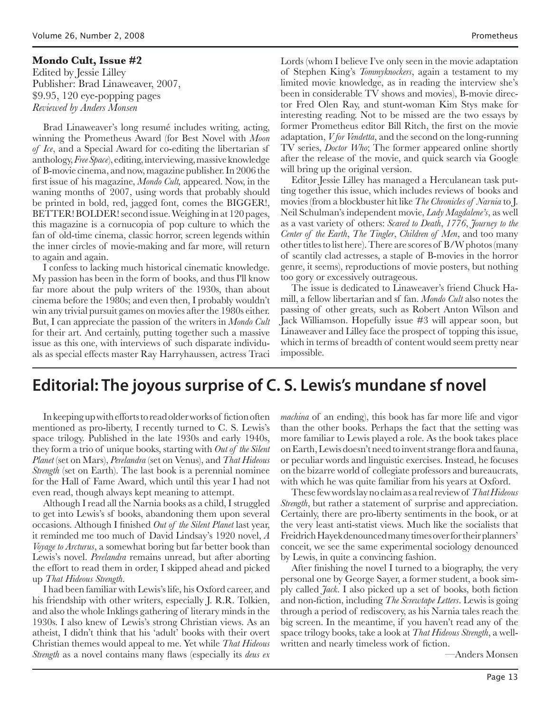### **Mondo Cult, Issue #2**

Edited by Jessie Lilley Publisher: Brad Linaweaver, 2007, \$9.95, 120 eye-popping pages *Reviewed by Anders Monsen*

Brad Linaweaver's long resumé includes writing, acting, winning the Prometheus Award (for Best Novel with *Moon of Ice*, and a Special Award for co-editing the libertarian sf anthology, *Free Space*), editing, interviewing, massive knowledge of B-movie cinema, and now, magazine publisher. In 2006 the first issue of his magazine, *Mondo Cult,* appeared. Now, in the waning months of 2007, using words that probably should be printed in bold, red, jagged font, comes the BIGGER!, BETTER! BOLDER! second issue. Weighing in at 120 pages, this magazine is a cornucopia of pop culture to which the fan of old-time cinema, classic horror, screen legends within the inner circles of movie-making and far more, will return to again and again.

I confess to lacking much historical cinematic knowledge. My passion has been in the form of books, and thus I'll know far more about the pulp writers of the 1930s, than about cinema before the 1980s; and even then, I probably wouldn't win any trivial pursuit games on movies after the 1980s either. But, I can appreciate the passion of the writers in *Mondo Cult* for their art. And certainly, putting together such a massive issue as this one, with interviews of such disparate individuals as special effects master Ray Harryhaussen, actress Traci

Lords (whom I believe I've only seen in the movie adaptation of Stephen King's *Tommyknockers*, again a testament to my limited movie knowledge, as in reading the interview she's been in considerable TV shows and movies), B-movie director Fred Olen Ray, and stunt-woman Kim Stys make for interesting reading. Not to be missed are the two essays by former Prometheus editor Bill Ritch, the first on the movie adaptation, *V for Vendetta*, and the second on the long-running TV series, *Doctor Who*; The former appeared online shortly after the release of the movie, and quick search via Google will bring up the original version.

Editor Jessie Lilley has managed a Herculanean task putting together this issue, which includes reviews of books and movies (from a blockbuster hit like *The Chronicles of Narnia* to J. Neil Schulman's independent movie, *Lady Magdalene's*, as well as a vast variety of others: *Scared to Death*, *1776*, *Journey to the Center of the Earth*, *The Tingler*, *Children of Men*, and too many other titles to list here). There are scores of B/W photos (many of scantily clad actresses, a staple of B-movies in the horror genre, it seems), reproductions of movie posters, but nothing too gory or excessively outrageous.

The issue is dedicated to Linaweaver's friend Chuck Hamill, a fellow libertarian and sf fan. *Mondo Cult* also notes the passing of other greats, such as Robert Anton Wilson and Jack Williamson. Hopefully issue #3 will appear soon, but Linaweaver and Lilley face the prospect of topping this issue, which in terms of breadth of content would seem pretty near impossible.

## **Editorial: The joyous surprise of C. S. Lewis's mundane sf novel**

In keeping up with efforts to read older works of fiction often mentioned as pro-liberty, I recently turned to C. S. Lewis's space trilogy. Published in the late 1930s and early 1940s, they form a trio of unique books, starting with *Out of the Silent Planet* (set on Mars), *Perelandra* (set on Venus), and *That Hideous Strength* (set on Earth). The last book is a perennial nominee for the Hall of Fame Award, which until this year I had not even read, though always kept meaning to attempt.

Although I read all the Narnia books as a child, I struggled to get into Lewis's sf books, abandoning them upon several occasions. Although I finished *Out of the Silent Planet* last year, it reminded me too much of David Lindsay's 1920 novel, *A Voyage to Arcturus*, a somewhat boring but far better book than Lewis's novel. *Perelandra* remains unread, but after aborting the effort to read them in order, I skipped ahead and picked up *That Hideous Strength*.

I had been familiar with Lewis's life, his Oxford career, and his friendship with other writers, especially J. R.R. Tolkien, and also the whole Inklings gathering of literary minds in the 1930s. I also knew of Lewis's strong Christian views. As an atheist, I didn't think that his 'adult' books with their overt Christian themes would appeal to me. Yet while *That Hideous Strength* as a novel contains many flaws (especially its *deus ex* 

*machina* of an ending), this book has far more life and vigor than the other books. Perhaps the fact that the setting was more familiar to Lewis played a role. As the book takes place on Earth, Lewis doesn't need to invent strange flora and fauna, or peculiar words and linguistic exercises. Instead, he focuses on the bizarre world of collegiate professors and bureaucrats, with which he was quite familiar from his years at Oxford.

These few words lay no claim as a real review of *That Hideous Strength*, but rather a statement of surprise and appreciation. Certainly, there are pro-liberty sentiments in the book, or at the very least anti-statist views. Much like the socialists that Freidrich Hayek denounced many times over for their planners' conceit, we see the same experimental sociology denounced by Lewis, in quite a convincing fashion.

After finishing the novel I turned to a biography, the very personal one by George Sayer, a former student, a book simply called *Jack*. I also picked up a set of books, both fiction and non-fiction, including *The Screwtape Letters*. Lewis is going through a period of rediscovery, as his Narnia tales reach the big screen. In the meantime, if you haven't read any of the space trilogy books, take a look at *That Hideous Strength*, a wellwritten and nearly timeless work of fiction.

—Anders Monsen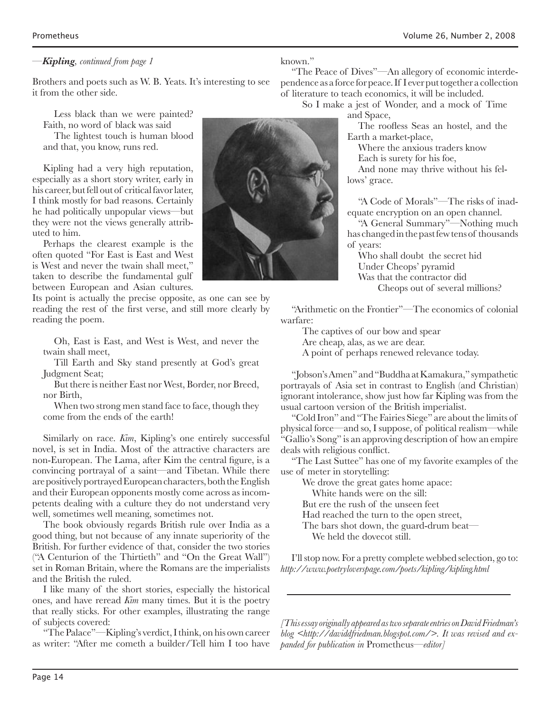#### *—Kipling, continued from page 1*

Brothers and poets such as W. B. Yeats. It's interesting to see it from the other side.

Less black than we were painted? Faith, no word of black was said The lightest touch is human blood

and that, you know, runs red.

Kipling had a very high reputation, especially as a short story writer, early in his career, but fell out of critical favor later, I think mostly for bad reasons. Certainly he had politically unpopular views—but they were not the views generally attributed to him.

Perhaps the clearest example is the often quoted "For East is East and West is West and never the twain shall meet," taken to describe the fundamental gulf between European and Asian cultures.

Its point is actually the precise opposite, as one can see by reading the rest of the first verse, and still more clearly by reading the poem.

Oh, East is East, and West is West, and never the twain shall meet,

Till Earth and Sky stand presently at God's great Judgment Seat;

But there is neither East nor West, Border, nor Breed, nor Birth,

When two strong men stand face to face, though they come from the ends of the earth!

Similarly on race. *Kim*, Kipling's one entirely successful novel, is set in India. Most of the attractive characters are non-European. The Lama, after Kim the central figure, is a convincing portrayal of a saint—and Tibetan. While there are positively portrayed European characters, both the English and their European opponents mostly come across as incompetents dealing with a culture they do not understand very well, sometimes well meaning, sometimes not.

The book obviously regards British rule over India as a good thing, but not because of any innate superiority of the British. For further evidence of that, consider the two stories ("A Centurion of the Thirtieth" and "On the Great Wall") set in Roman Britain, where the Romans are the imperialists and the British the ruled.

I like many of the short stories, especially the historical ones, and have reread *Kim* many times. But it is the poetry that really sticks. For other examples, illustrating the range of subjects covered:

"The Palace"—Kipling's verdict, I think, on his own career as writer: "After me cometh a builder/Tell him I too have



known."

"The Peace of Dives"—An allegory of economic interdependence as a force for peace. If I ever put together a collection of literature to teach economics, it will be included.

So I make a jest of Wonder, and a mock of Time and Space,

> The roofless Seas an hostel, and the Earth a market-place,

Where the anxious traders know Each is surety for his foe,

And none may thrive without his fellows' grace.

"A Code of Morals"—The risks of inadequate encryption on an open channel.

"A General Summary"—Nothing much has changed in the past few tens of thousands of years:

Who shall doubt the secret hid Under Cheops' pyramid Was that the contractor did Cheops out of several millions?

"Arithmetic on the Frontier"—The economics of colonial warfare:

The captives of our bow and spear Are cheap, alas, as we are dear. A point of perhaps renewed relevance today.

"Jobson's Amen" and "Buddha at Kamakura," sympathetic portrayals of Asia set in contrast to English (and Christian) ignorant intolerance, show just how far Kipling was from the usual cartoon version of the British imperialist.

"Cold Iron" and "The Fairies Siege" are about the limits of physical force—and so, I suppose, of political realism—while "Gallio's Song" is an approving description of how an empire deals with religious conflict.

"The Last Suttee" has one of my favorite examples of the use of meter in storytelling:

We drove the great gates home apace:

White hands were on the sill:

But ere the rush of the unseen feet

Had reached the turn to the open street,

The bars shot down, the guard-drum beat—

We held the dovecot still.

I'll stop now. For a pretty complete webbed selection, go to: *http://www.poetryloverspage.com/poets/kipling/kipling.html*

*[This essay originally appeared as two separate entries on David Friedman's blog <http://daviddfriedman.blogspot.com/>. It was revised and expanded for publication in* Prometheus*—editor]*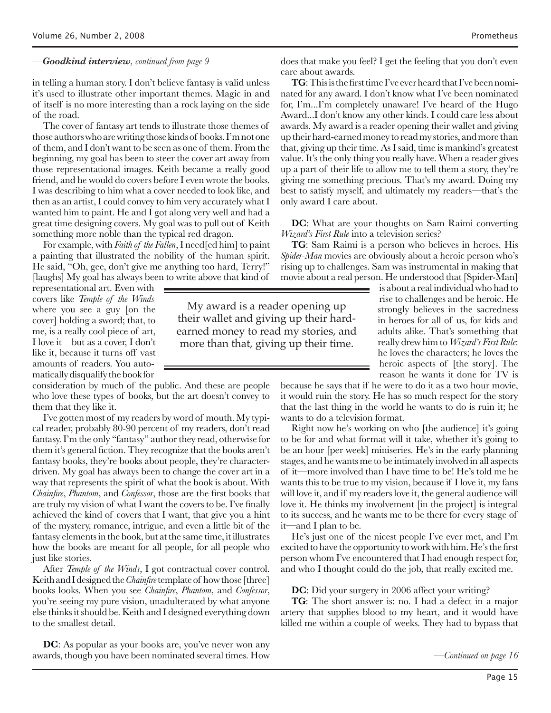#### *—Goodkind interview, continued from page 9*

in telling a human story. I don't believe fantasy is valid unless it's used to illustrate other important themes. Magic in and of itself is no more interesting than a rock laying on the side of the road.

The cover of fantasy art tends to illustrate those themes of those authors who are writing those kinds of books. I'm not one of them, and I don't want to be seen as one of them. From the beginning, my goal has been to steer the cover art away from those representational images. Keith became a really good friend, and he would do covers before I even wrote the books. I was describing to him what a cover needed to look like, and then as an artist, I could convey to him very accurately what I wanted him to paint. He and I got along very well and had a great time designing covers. My goal was to pull out of Keith something more noble than the typical red dragon.

For example, with *Faith of the Fallen*, I need[ed him] to paint a painting that illustrated the nobility of the human spirit. He said, "Oh, gee, don't give me anything too hard, Terry!" [laughs] My goal has always been to write above that kind of

representational art. Even with covers like *Temple of the Winds* where you see a guy [on the cover] holding a sword; that, to me, is a really cool piece of art, I love it—but as a cover, I don't like it, because it turns off vast amounts of readers. You automatically disqualify the book for

consideration by much of the public. And these are people who love these types of books, but the art doesn't convey to them that they like it.

I've gotten most of my readers by word of mouth. My typical reader, probably 80-90 percent of my readers, don't read fantasy. I'm the only "fantasy" author they read, otherwise for them it's general fiction. They recognize that the books aren't fantasy books, they're books about people, they're characterdriven. My goal has always been to change the cover art in a way that represents the spirit of what the book is about. With *Chainfire*, *Phantom*, and *Confessor*, those are the first books that are truly my vision of what I want the covers to be. I've finally achieved the kind of covers that I want, that give you a hint of the mystery, romance, intrigue, and even a little bit of the fantasy elements in the book, but at the same time, it illustrates how the books are meant for all people, for all people who just like stories.

After *Temple of the Winds*, I got contractual cover control. Keith and I designed the *Chainfire* template of how those [three] books looks. When you see *Chainfire*, *Phantom*, and *Confessor*, you're seeing my pure vision, unadulterated by what anyone else thinks it should be. Keith and I designed everything down to the smallest detail.

**DC**: As popular as your books are, you've never won any awards, though you have been nominated several times. How does that make you feel? I get the feeling that you don't even care about awards.

**TG**: This is the first time I've ever heard that I've been nominated for any award. I don't know what I've been nominated for, I'm...I'm completely unaware! I've heard of the Hugo Award...I don't know any other kinds. I could care less about awards. My award is a reader opening their wallet and giving up their hard-earned money to read my stories, and more than that, giving up their time. As I said, time is mankind's greatest value. It's the only thing you really have. When a reader gives up a part of their life to allow me to tell them a story, they're giving me something precious. That's my award. Doing my best to satisfy myself, and ultimately my readers—that's the only award I care about.

**DC**: What are your thoughts on Sam Raimi converting *Wizard's First Rule* into a television series?

**TG**: Sam Raimi is a person who believes in heroes. His *Spider-Man* movies are obviously about a heroic person who's rising up to challenges. Sam was instrumental in making that movie about a real person. He understood that [Spider-Man]

My award is a reader opening up their wallet and giving up their hardearned money to read my stories, and more than that, giving up their time.

is about a real individual who had to rise to challenges and be heroic. He strongly believes in the sacredness in heroes for all of us, for kids and adults alike. That's something that really drew him to *Wizard's First Rule*: he loves the characters; he loves the heroic aspects of [the story]. The reason he wants it done for TV is

because he says that if he were to do it as a two hour movie, it would ruin the story. He has so much respect for the story that the last thing in the world he wants to do is ruin it; he wants to do a television format.

Right now he's working on who [the audience] it's going to be for and what format will it take, whether it's going to be an hour [per week] miniseries. He's in the early planning stages, and he wants me to be intimately involved in all aspects of it—more involved than I have time to be! He's told me he wants this to be true to my vision, because if I love it, my fans will love it, and if my readers love it, the general audience will love it. He thinks my involvement [in the project] is integral to its success, and he wants me to be there for every stage of it—and I plan to be.

He's just one of the nicest people I've ever met, and I'm excited to have the opportunity to work with him. He's the first person whom I've encountered that I had enough respect for, and who I thought could do the job, that really excited me.

**DC**: Did your surgery in 2006 affect your writing?

**TG**: The short answer is: no. I had a defect in a major artery that supplies blood to my heart, and it would have killed me within a couple of weeks. They had to bypass that